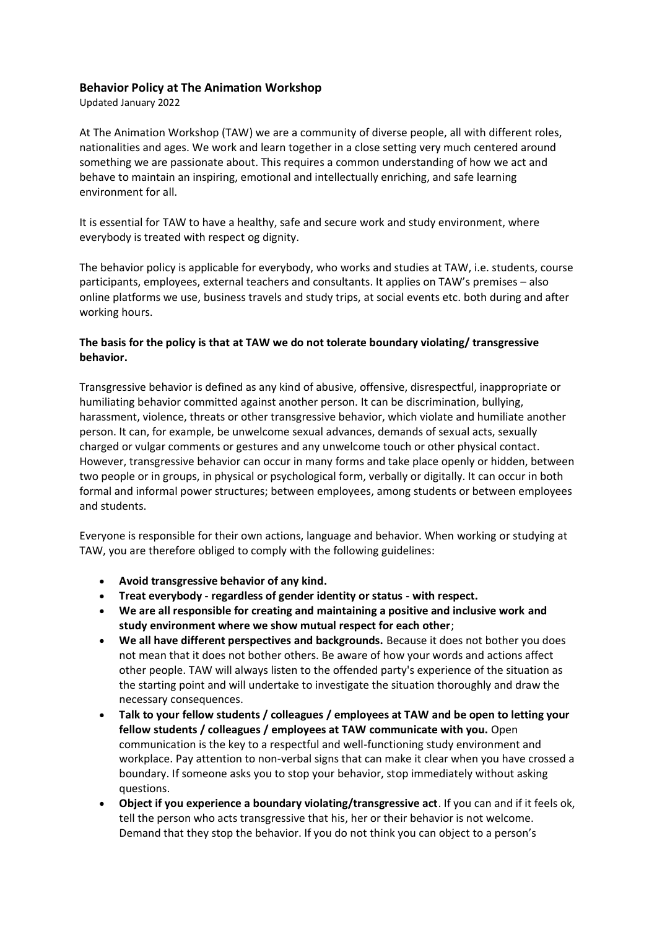## **Behavior Policy at The Animation Workshop**

Updated January 2022

At The Animation Workshop (TAW) we are a community of diverse people, all with different roles, nationalities and ages. We work and learn together in a close setting very much centered around something we are passionate about. This requires a common understanding of how we act and behave to maintain an inspiring, emotional and intellectually enriching, and safe learning environment for all.

It is essential for TAW to have a healthy, safe and secure work and study environment, where everybody is treated with respect og dignity.

The behavior policy is applicable for everybody, who works and studies at TAW, i.e. students, course participants, employees, external teachers and consultants. It applies on TAW's premises – also online platforms we use, business travels and study trips, at social events etc. both during and after working hours.

## **The basis for the policy is that at TAW we do not tolerate boundary violating/ transgressive behavior.**

Transgressive behavior is defined as any kind of abusive, offensive, disrespectful, inappropriate or humiliating behavior committed against another person. It can be discrimination, bullying, harassment, violence, threats or other transgressive behavior, which violate and humiliate another person. It can, for example, be unwelcome sexual advances, demands of sexual acts, sexually charged or vulgar comments or gestures and any unwelcome touch or other physical contact. However, transgressive behavior can occur in many forms and take place openly or hidden, between two people or in groups, in physical or psychological form, verbally or digitally. It can occur in both formal and informal power structures; between employees, among students or between employees and students.

Everyone is responsible for their own actions, language and behavior. When working or studying at TAW, you are therefore obliged to comply with the following guidelines:

- **Avoid transgressive behavior of any kind.**
- **Treat everybody - regardless of gender identity or status - with respect.**
- **We are all responsible for creating and maintaining a positive and inclusive work and study environment where we show mutual respect for each other**;
- **We all have different perspectives and backgrounds.** Because it does not bother you does not mean that it does not bother others. Be aware of how your words and actions affect other people. TAW will always listen to the offended party's experience of the situation as the starting point and will undertake to investigate the situation thoroughly and draw the necessary consequences.
- **Talk to your fellow students / colleagues / employees at TAW and be open to letting your fellow students / colleagues / employees at TAW communicate with you.** Open communication is the key to a respectful and well-functioning study environment and workplace. Pay attention to non-verbal signs that can make it clear when you have crossed a boundary. If someone asks you to stop your behavior, stop immediately without asking questions.
- **Object if you experience a boundary violating/transgressive act**. If you can and if it feels ok, tell the person who acts transgressive that his, her or their behavior is not welcome. Demand that they stop the behavior. If you do not think you can object to a person's